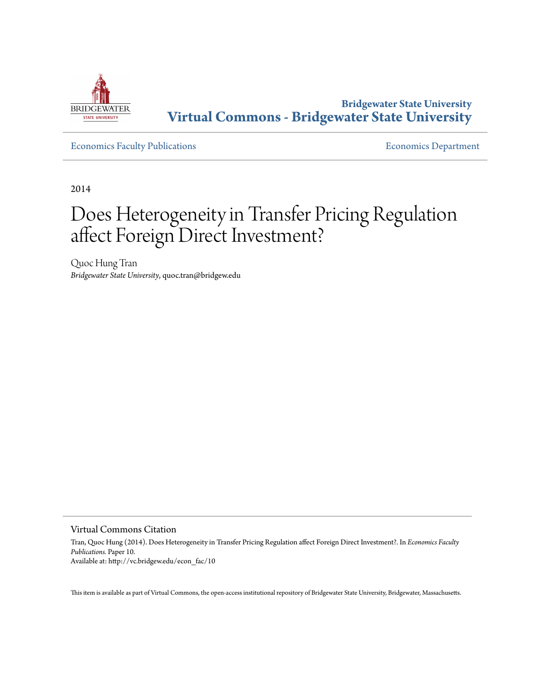

**Bridgewater State University [Virtual Commons - Bridgewater State University](http://vc.bridgew.edu)**

[Economics Faculty Publications](http://vc.bridgew.edu/econ_fac) **Economics** Department

2014

# Does Heterogeneity in Transfer Pricing Regulation affect Foreign Direct Investment?

Quoc Hung Tran *Bridgewater State University*, quoc.tran@bridgew.edu

Virtual Commons Citation

Tran, Quoc Hung (2014). Does Heterogeneity in Transfer Pricing Regulation affect Foreign Direct Investment?. In *Economics Faculty Publications.* Paper 10. Available at: http://vc.bridgew.edu/econ\_fac/10

This item is available as part of Virtual Commons, the open-access institutional repository of Bridgewater State University, Bridgewater, Massachusetts.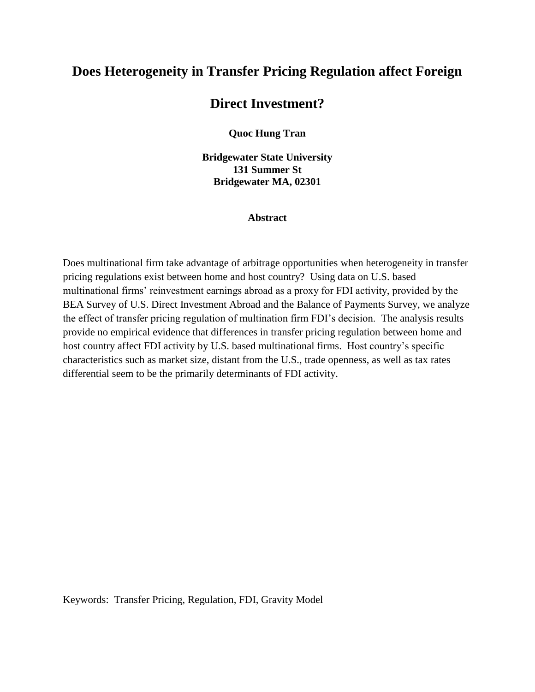## **Does Heterogeneity in Transfer Pricing Regulation affect Foreign**

### **Direct Investment?**

**Quoc Hung Tran**

**Bridgewater State University 131 Summer St Bridgewater MA, 02301**

#### **Abstract**

Does multinational firm take advantage of arbitrage opportunities when heterogeneity in transfer pricing regulations exist between home and host country? Using data on U.S. based multinational firms' reinvestment earnings abroad as a proxy for FDI activity, provided by the BEA Survey of U.S. Direct Investment Abroad and the Balance of Payments Survey, we analyze the effect of transfer pricing regulation of multination firm FDI's decision. The analysis results provide no empirical evidence that differences in transfer pricing regulation between home and host country affect FDI activity by U.S. based multinational firms. Host country's specific characteristics such as market size, distant from the U.S., trade openness, as well as tax rates differential seem to be the primarily determinants of FDI activity.

Keywords: Transfer Pricing, Regulation, FDI, Gravity Model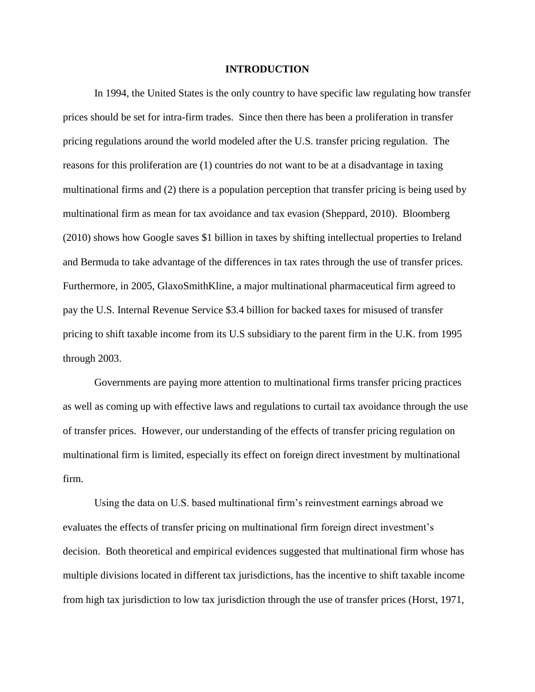#### **INTRODUCTION**

In 1994, the United States is the only country to have specific law regulating how transfer prices should be set for intra-firm trades. Since then there has been a proliferation in transfer pricing regulations around the world modeled after the U.S. transfer pricing regulation. The reasons for this proliferation are (1) countries do not want to be at a disadvantage in taxing multinational firms and (2) there is a population perception that transfer pricing is being used by multinational firm as mean for tax avoidance and tax evasion (Sheppard, 2010). Bloomberg (2010) shows how Google saves \$1 billion in taxes by shifting intellectual properties to Ireland and Bermuda to take advantage of the differences in tax rates through the use of transfer prices. Furthermore, in 2005, GlaxoSmithKline, a major multinational pharmaceutical firm agreed to pay the U.S. Internal Revenue Service \$3.4 billion for backed taxes for misused of transfer pricing to shift taxable income from its U.S subsidiary to the parent firm in the U.K. from 1995 through 2003.

Governments are paying more attention to multinational firms transfer pricing practices as well as coming up with effective laws and regulations to curtail tax avoidance through the use of transfer prices. However, our understanding of the effects of transfer pricing regulation on multinational firm is limited, especially its effect on foreign direct investment by multinational firm.

Using the data on U.S. based multinational firm's reinvestment earnings abroad we evaluates the effects of transfer pricing on multinational firm foreign direct investment's decision. Both theoretical and empirical evidences suggested that multinational firm whose has multiple divisions located in different tax jurisdictions, has the incentive to shift taxable income from high tax jurisdiction to low tax jurisdiction through the use of transfer prices (Horst, 1971,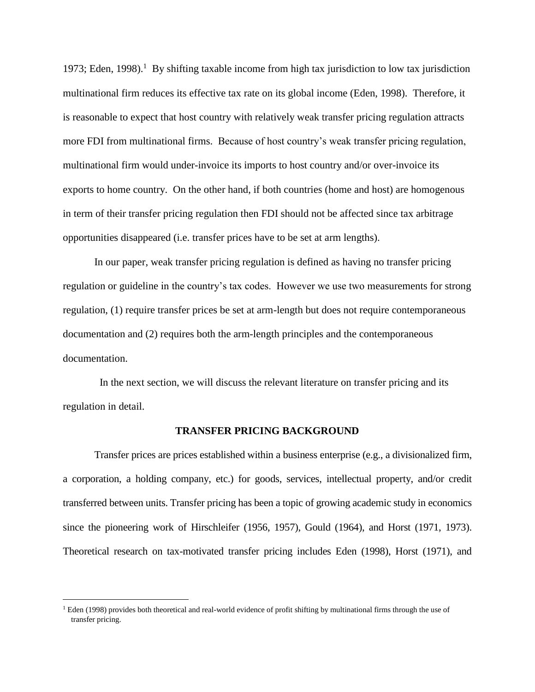1973; Eden, 1998).<sup>1</sup> By shifting taxable income from high tax jurisdiction to low tax jurisdiction multinational firm reduces its effective tax rate on its global income (Eden, 1998). Therefore, it is reasonable to expect that host country with relatively weak transfer pricing regulation attracts more FDI from multinational firms. Because of host country's weak transfer pricing regulation, multinational firm would under-invoice its imports to host country and/or over-invoice its exports to home country. On the other hand, if both countries (home and host) are homogenous in term of their transfer pricing regulation then FDI should not be affected since tax arbitrage opportunities disappeared (i.e. transfer prices have to be set at arm lengths).

In our paper, weak transfer pricing regulation is defined as having no transfer pricing regulation or guideline in the country's tax codes. However we use two measurements for strong regulation, (1) require transfer prices be set at arm-length but does not require contemporaneous documentation and (2) requires both the arm-length principles and the contemporaneous documentation.

 In the next section, we will discuss the relevant literature on transfer pricing and its regulation in detail.

#### **TRANSFER PRICING BACKGROUND**

Transfer prices are prices established within a business enterprise (e.g., a divisionalized firm, a corporation, a holding company, etc.) for goods, services, intellectual property, and/or credit transferred between units. Transfer pricing has been a topic of growing academic study in economics since the pioneering work of Hirschleifer (1956, 1957), Gould (1964), and Horst (1971, 1973). Theoretical research on tax-motivated transfer pricing includes Eden (1998), Horst (1971), and

 $\overline{a}$ 

<sup>&</sup>lt;sup>1</sup> Eden (1998) provides both theoretical and real-world evidence of profit shifting by multinational firms through the use of transfer pricing.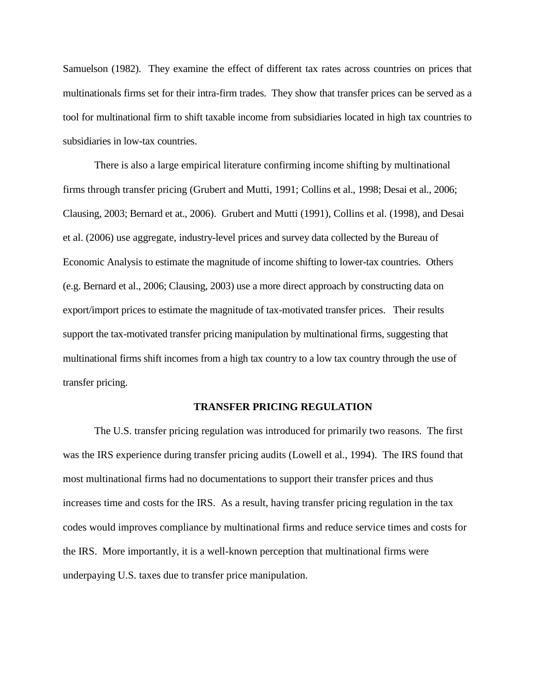Samuelson (1982). They examine the effect of different tax rates across countries on prices that multinationals firms set for their intra-firm trades. They show that transfer prices can be served as a tool for multinational firm to shift taxable income from subsidiaries located in high tax countries to subsidiaries in low-tax countries.

There is also a large empirical literature confirming income shifting by multinational firms through transfer pricing (Grubert and Mutti, 1991; Collins et al., 1998; Desai et al., 2006; Clausing, 2003; Bernard et at., 2006). Grubert and Mutti (1991), Collins et al. (1998), and Desai et al. (2006) use aggregate, industry-level prices and survey data collected by the Bureau of Economic Analysis to estimate the magnitude of income shifting to lower-tax countries. Others (e.g. Bernard et al., 2006; Clausing, 2003) use a more direct approach by constructing data on export/import prices to estimate the magnitude of tax-motivated transfer prices. Their results support the tax-motivated transfer pricing manipulation by multinational firms, suggesting that multinational firms shift incomes from a high tax country to a low tax country through the use of transfer pricing.

#### **TRANSFER PRICING REGULATION**

The U.S. transfer pricing regulation was introduced for primarily two reasons. The first was the IRS experience during transfer pricing audits (Lowell et al., 1994). The IRS found that most multinational firms had no documentations to support their transfer prices and thus increases time and costs for the IRS. As a result, having transfer pricing regulation in the tax codes would improves compliance by multinational firms and reduce service times and costs for the IRS. More importantly, it is a well-known perception that multinational firms were underpaying U.S. taxes due to transfer price manipulation.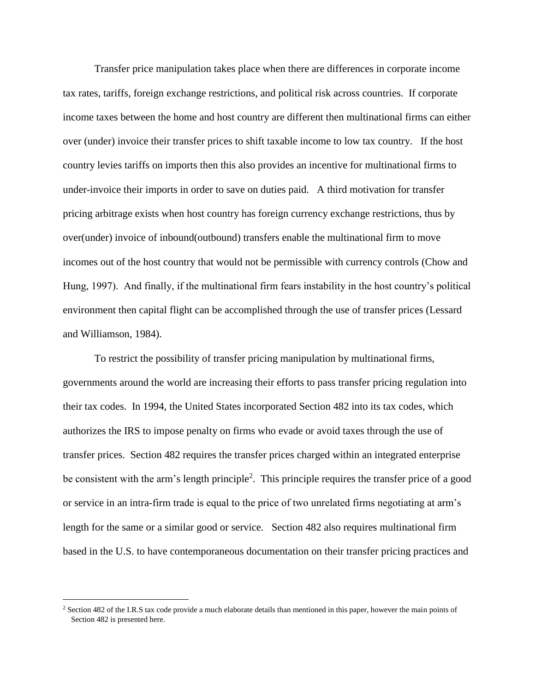Transfer price manipulation takes place when there are differences in corporate income tax rates, tariffs, foreign exchange restrictions, and political risk across countries. If corporate income taxes between the home and host country are different then multinational firms can either over (under) invoice their transfer prices to shift taxable income to low tax country. If the host country levies tariffs on imports then this also provides an incentive for multinational firms to under-invoice their imports in order to save on duties paid. A third motivation for transfer pricing arbitrage exists when host country has foreign currency exchange restrictions, thus by over(under) invoice of inbound(outbound) transfers enable the multinational firm to move incomes out of the host country that would not be permissible with currency controls (Chow and Hung, 1997). And finally, if the multinational firm fears instability in the host country's political environment then capital flight can be accomplished through the use of transfer prices (Lessard and Williamson, 1984).

To restrict the possibility of transfer pricing manipulation by multinational firms, governments around the world are increasing their efforts to pass transfer pricing regulation into their tax codes. In 1994, the United States incorporated Section 482 into its tax codes, which authorizes the IRS to impose penalty on firms who evade or avoid taxes through the use of transfer prices. Section 482 requires the transfer prices charged within an integrated enterprise be consistent with the arm's length principle<sup>2</sup>. This principle requires the transfer price of a good or service in an intra-firm trade is equal to the price of two unrelated firms negotiating at arm's length for the same or a similar good or service. Section 482 also requires multinational firm based in the U.S. to have contemporaneous documentation on their transfer pricing practices and

 $\overline{a}$ 

<sup>&</sup>lt;sup>2</sup> Section 482 of the I.R.S tax code provide a much elaborate details than mentioned in this paper, however the main points of Section 482 is presented here.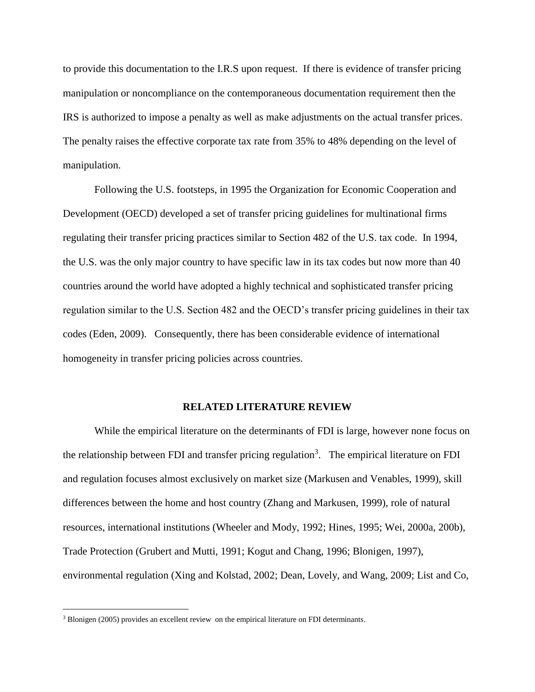to provide this documentation to the I.R.S upon request. If there is evidence of transfer pricing manipulation or noncompliance on the contemporaneous documentation requirement then the IRS is authorized to impose a penalty as well as make adjustments on the actual transfer prices. The penalty raises the effective corporate tax rate from 35% to 48% depending on the level of manipulation.

Following the U.S. footsteps, in 1995 the Organization for Economic Cooperation and Development (OECD) developed a set of transfer pricing guidelines for multinational firms regulating their transfer pricing practices similar to Section 482 of the U.S. tax code. In 1994, the U.S. was the only major country to have specific law in its tax codes but now more than 40 countries around the world have adopted a highly technical and sophisticated transfer pricing regulation similar to the U.S. Section 482 and the OECD's transfer pricing guidelines in their tax codes (Eden, 2009). Consequently, there has been considerable evidence of international homogeneity in transfer pricing policies across countries.

#### **RELATED LITERATURE REVIEW**

While the empirical literature on the determinants of FDI is large, however none focus on the relationship between FDI and transfer pricing regulation<sup>3</sup>. The empirical literature on FDI and regulation focuses almost exclusively on market size (Markusen and Venables, 1999), skill differences between the home and host country (Zhang and Markusen, 1999), role of natural resources, international institutions (Wheeler and Mody, 1992; Hines, 1995; Wei, 2000a, 200b), Trade Protection (Grubert and Mutti, 1991; Kogut and Chang, 1996; Blonigen, 1997), environmental regulation (Xing and Kolstad, 2002; Dean, Lovely, and Wang, 2009; List and Co,

 $\overline{a}$ 

<sup>&</sup>lt;sup>3</sup> Blonigen (2005) provides an excellent review on the empirical literature on FDI determinants.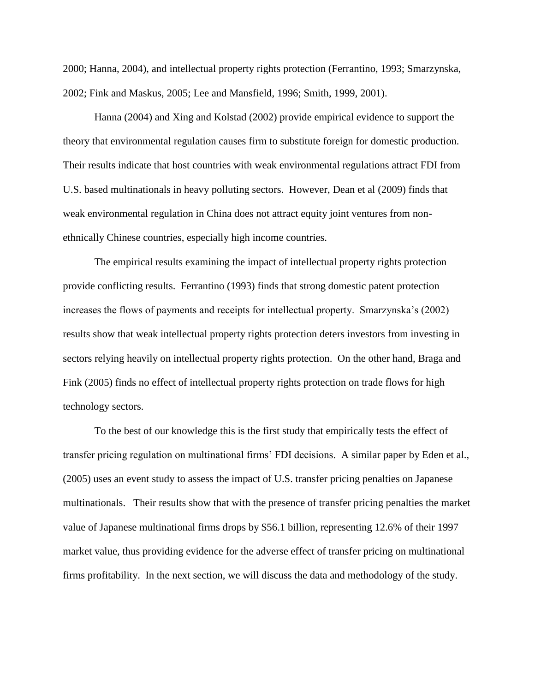2000; Hanna, 2004), and intellectual property rights protection (Ferrantino, 1993; Smarzynska, 2002; Fink and Maskus, 2005; Lee and Mansfield, 1996; Smith, 1999, 2001).

Hanna (2004) and Xing and Kolstad (2002) provide empirical evidence to support the theory that environmental regulation causes firm to substitute foreign for domestic production. Their results indicate that host countries with weak environmental regulations attract FDI from U.S. based multinationals in heavy polluting sectors. However, Dean et al (2009) finds that weak environmental regulation in China does not attract equity joint ventures from nonethnically Chinese countries, especially high income countries.

The empirical results examining the impact of intellectual property rights protection provide conflicting results. Ferrantino (1993) finds that strong domestic patent protection increases the flows of payments and receipts for intellectual property. Smarzynska's (2002) results show that weak intellectual property rights protection deters investors from investing in sectors relying heavily on intellectual property rights protection. On the other hand, Braga and Fink (2005) finds no effect of intellectual property rights protection on trade flows for high technology sectors.

To the best of our knowledge this is the first study that empirically tests the effect of transfer pricing regulation on multinational firms' FDI decisions. A similar paper by Eden et al., (2005) uses an event study to assess the impact of U.S. transfer pricing penalties on Japanese multinationals. Their results show that with the presence of transfer pricing penalties the market value of Japanese multinational firms drops by \$56.1 billion, representing 12.6% of their 1997 market value, thus providing evidence for the adverse effect of transfer pricing on multinational firms profitability. In the next section, we will discuss the data and methodology of the study.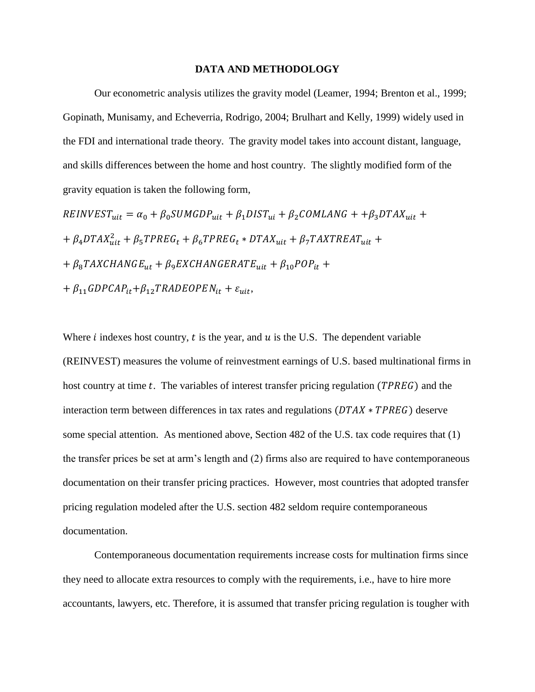#### **DATA AND METHODOLOGY**

Our econometric analysis utilizes the gravity model (Leamer, 1994; Brenton et al., 1999; Gopinath, Munisamy, and Echeverria, Rodrigo, 2004; Brulhart and Kelly, 1999) widely used in the FDI and international trade theory. The gravity model takes into account distant, language, and skills differences between the home and host country. The slightly modified form of the gravity equation is taken the following form,

 $REINVEST_{uit} = \alpha_0 + \beta_0 SUMGDP_{uit} + \beta_1 DIST_{ui} + \beta_2 COMLAND + \beta_3 DTAX_{uit} +$ +  $\beta_4$ DTAX $_{uit}^2$  +  $\beta_5$ TPREG<sub>t</sub> +  $\beta_6$ TPREG<sub>t</sub> \* DTAX<sub>uit</sub> +  $\beta_7$ TAXTREAT<sub>uit</sub> +  $+ \beta_8 TAXCHANGE_{ut} + \beta_9 EXCHANGERATE_{uit} + \beta_{10} POP_{it} +$ +  $\beta_{11}GDPCAP_{it}+\beta_{12}TRADEOPEN_{it} + \varepsilon_{uit}$ 

Where  $i$  indexes host country,  $t$  is the year, and  $u$  is the U.S. The dependent variable (REINVEST) measures the volume of reinvestment earnings of U.S. based multinational firms in host country at time  $t$ . The variables of interest transfer pricing regulation (*TPREG*) and the interaction term between differences in tax rates and regulations  $(DTAX * TPREG)$  deserve some special attention. As mentioned above, Section 482 of the U.S. tax code requires that (1) the transfer prices be set at arm's length and (2) firms also are required to have contemporaneous documentation on their transfer pricing practices. However, most countries that adopted transfer pricing regulation modeled after the U.S. section 482 seldom require contemporaneous documentation.

Contemporaneous documentation requirements increase costs for multination firms since they need to allocate extra resources to comply with the requirements, i.e., have to hire more accountants, lawyers, etc. Therefore, it is assumed that transfer pricing regulation is tougher with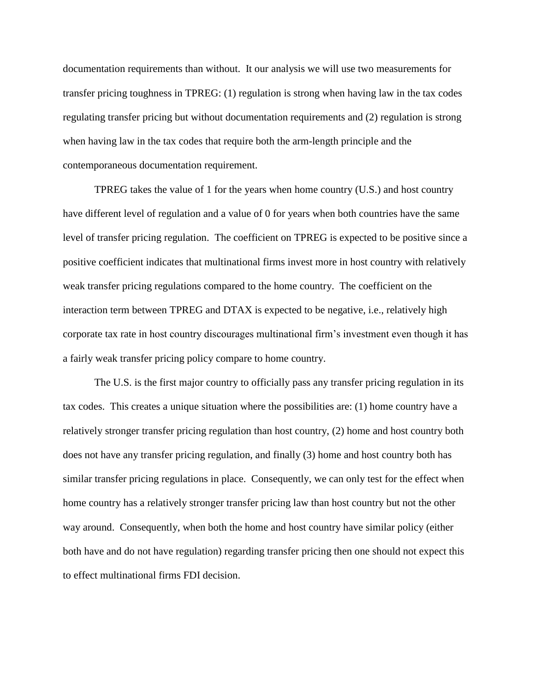documentation requirements than without. It our analysis we will use two measurements for transfer pricing toughness in TPREG: (1) regulation is strong when having law in the tax codes regulating transfer pricing but without documentation requirements and (2) regulation is strong when having law in the tax codes that require both the arm-length principle and the contemporaneous documentation requirement.

TPREG takes the value of 1 for the years when home country (U.S.) and host country have different level of regulation and a value of 0 for years when both countries have the same level of transfer pricing regulation. The coefficient on TPREG is expected to be positive since a positive coefficient indicates that multinational firms invest more in host country with relatively weak transfer pricing regulations compared to the home country. The coefficient on the interaction term between TPREG and DTAX is expected to be negative, i.e., relatively high corporate tax rate in host country discourages multinational firm's investment even though it has a fairly weak transfer pricing policy compare to home country.

The U.S. is the first major country to officially pass any transfer pricing regulation in its tax codes. This creates a unique situation where the possibilities are: (1) home country have a relatively stronger transfer pricing regulation than host country, (2) home and host country both does not have any transfer pricing regulation, and finally (3) home and host country both has similar transfer pricing regulations in place. Consequently, we can only test for the effect when home country has a relatively stronger transfer pricing law than host country but not the other way around. Consequently, when both the home and host country have similar policy (either both have and do not have regulation) regarding transfer pricing then one should not expect this to effect multinational firms FDI decision.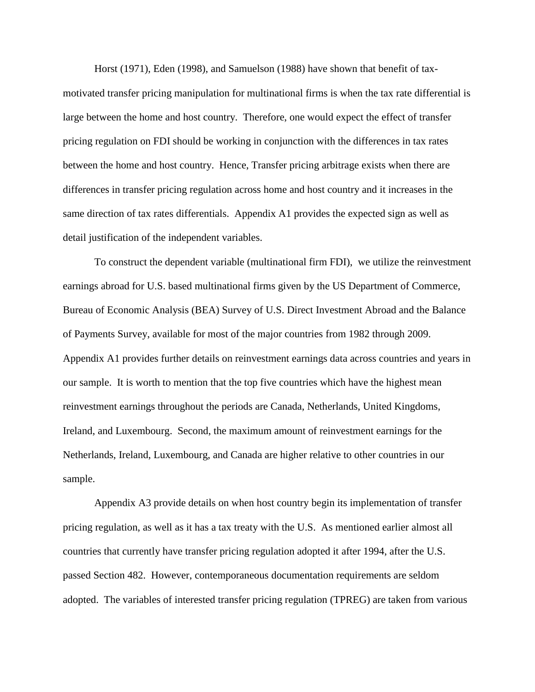Horst (1971), Eden (1998), and Samuelson (1988) have shown that benefit of taxmotivated transfer pricing manipulation for multinational firms is when the tax rate differential is large between the home and host country. Therefore, one would expect the effect of transfer pricing regulation on FDI should be working in conjunction with the differences in tax rates between the home and host country. Hence, Transfer pricing arbitrage exists when there are differences in transfer pricing regulation across home and host country and it increases in the same direction of tax rates differentials. Appendix A1 provides the expected sign as well as detail justification of the independent variables.

To construct the dependent variable (multinational firm FDI), we utilize the reinvestment earnings abroad for U.S. based multinational firms given by the US Department of Commerce, Bureau of Economic Analysis (BEA) Survey of U.S. Direct Investment Abroad and the Balance of Payments Survey, available for most of the major countries from 1982 through 2009. Appendix A1 provides further details on reinvestment earnings data across countries and years in our sample. It is worth to mention that the top five countries which have the highest mean reinvestment earnings throughout the periods are Canada, Netherlands, United Kingdoms, Ireland, and Luxembourg. Second, the maximum amount of reinvestment earnings for the Netherlands, Ireland, Luxembourg, and Canada are higher relative to other countries in our sample.

Appendix A3 provide details on when host country begin its implementation of transfer pricing regulation, as well as it has a tax treaty with the U.S. As mentioned earlier almost all countries that currently have transfer pricing regulation adopted it after 1994, after the U.S. passed Section 482. However, contemporaneous documentation requirements are seldom adopted. The variables of interested transfer pricing regulation (TPREG) are taken from various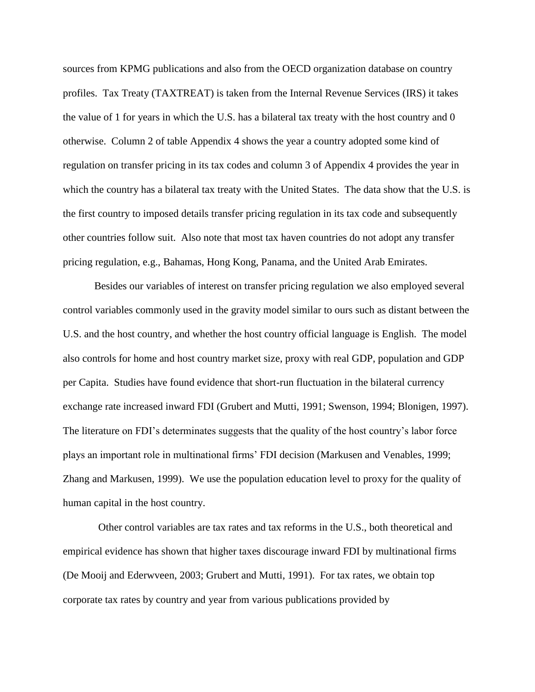sources from KPMG publications and also from the OECD organization database on country profiles. Tax Treaty (TAXTREAT) is taken from the Internal Revenue Services (IRS) it takes the value of 1 for years in which the U.S. has a bilateral tax treaty with the host country and 0 otherwise. Column 2 of table Appendix 4 shows the year a country adopted some kind of regulation on transfer pricing in its tax codes and column 3 of Appendix 4 provides the year in which the country has a bilateral tax treaty with the United States. The data show that the U.S. is the first country to imposed details transfer pricing regulation in its tax code and subsequently other countries follow suit. Also note that most tax haven countries do not adopt any transfer pricing regulation, e.g., Bahamas, Hong Kong, Panama, and the United Arab Emirates.

Besides our variables of interest on transfer pricing regulation we also employed several control variables commonly used in the gravity model similar to ours such as distant between the U.S. and the host country, and whether the host country official language is English. The model also controls for home and host country market size, proxy with real GDP, population and GDP per Capita. Studies have found evidence that short-run fluctuation in the bilateral currency exchange rate increased inward FDI (Grubert and Mutti, 1991; Swenson, 1994; Blonigen, 1997). The literature on FDI's determinates suggests that the quality of the host country's labor force plays an important role in multinational firms' FDI decision (Markusen and Venables, 1999; Zhang and Markusen, 1999). We use the population education level to proxy for the quality of human capital in the host country.

Other control variables are tax rates and tax reforms in the U.S., both theoretical and empirical evidence has shown that higher taxes discourage inward FDI by multinational firms (De Mooij and Ederwveen, 2003; Grubert and Mutti, 1991). For tax rates, we obtain top corporate tax rates by country and year from various publications provided by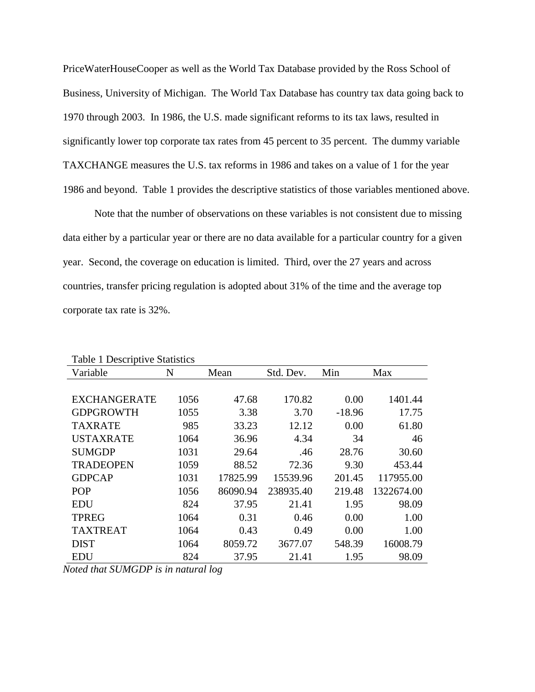PriceWaterHouseCooper as well as the World Tax Database provided by the Ross School of Business, University of Michigan. The World Tax Database has country tax data going back to 1970 through 2003. In 1986, the U.S. made significant reforms to its tax laws, resulted in significantly lower top corporate tax rates from 45 percent to 35 percent. The dummy variable TAXCHANGE measures the U.S. tax reforms in 1986 and takes on a value of 1 for the year 1986 and beyond. Table 1 provides the descriptive statistics of those variables mentioned above.

Note that the number of observations on these variables is not consistent due to missing data either by a particular year or there are no data available for a particular country for a given year. Second, the coverage on education is limited. Third, over the 27 years and across countries, transfer pricing regulation is adopted about 31% of the time and the average top corporate tax rate is 32%.

| Table 1 Descriptive Statistics |      |          |           |          |            |
|--------------------------------|------|----------|-----------|----------|------------|
| Variable                       | N    | Mean     | Std. Dev. | Min      | Max        |
|                                |      |          |           |          |            |
| <b>EXCHANGERATE</b>            | 1056 | 47.68    | 170.82    | 0.00     | 1401.44    |
| <b>GDPGROWTH</b>               | 1055 | 3.38     | 3.70      | $-18.96$ | 17.75      |
| <b>TAXRATE</b>                 | 985  | 33.23    | 12.12     | 0.00     | 61.80      |
| <b>USTAXRATE</b>               | 1064 | 36.96    | 4.34      | 34       | 46         |
| <b>SUMGDP</b>                  | 1031 | 29.64    | .46       | 28.76    | 30.60      |
| <b>TRADEOPEN</b>               | 1059 | 88.52    | 72.36     | 9.30     | 453.44     |
| <b>GDPCAP</b>                  | 1031 | 17825.99 | 15539.96  | 201.45   | 117955.00  |
| <b>POP</b>                     | 1056 | 86090.94 | 238935.40 | 219.48   | 1322674.00 |
| <b>EDU</b>                     | 824  | 37.95    | 21.41     | 1.95     | 98.09      |
| <b>TPREG</b>                   | 1064 | 0.31     | 0.46      | 0.00     | 1.00       |
| <b>TAXTREAT</b>                | 1064 | 0.43     | 0.49      | 0.00     | 1.00       |
| <b>DIST</b>                    | 1064 | 8059.72  | 3677.07   | 548.39   | 16008.79   |
| <b>EDU</b>                     | 824  | 37.95    | 21.41     | 1.95     | 98.09      |

Table 1 Descriptive Statistics

*Noted that SUMGDP is in natural log*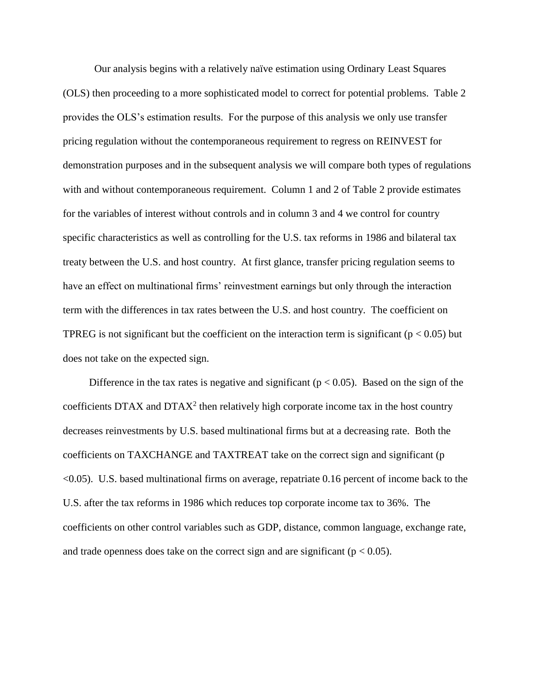Our analysis begins with a relatively naïve estimation using Ordinary Least Squares (OLS) then proceeding to a more sophisticated model to correct for potential problems. Table 2 provides the OLS's estimation results. For the purpose of this analysis we only use transfer pricing regulation without the contemporaneous requirement to regress on REINVEST for demonstration purposes and in the subsequent analysis we will compare both types of regulations with and without contemporaneous requirement. Column 1 and 2 of Table 2 provide estimates for the variables of interest without controls and in column 3 and 4 we control for country specific characteristics as well as controlling for the U.S. tax reforms in 1986 and bilateral tax treaty between the U.S. and host country. At first glance, transfer pricing regulation seems to have an effect on multinational firms' reinvestment earnings but only through the interaction term with the differences in tax rates between the U.S. and host country. The coefficient on TPREG is not significant but the coefficient on the interaction term is significant ( $p < 0.05$ ) but does not take on the expected sign.

Difference in the tax rates is negative and significant ( $p < 0.05$ ). Based on the sign of the coefficients DTAX and DTA $X^2$  then relatively high corporate income tax in the host country decreases reinvestments by U.S. based multinational firms but at a decreasing rate. Both the coefficients on TAXCHANGE and TAXTREAT take on the correct sign and significant (p <0.05). U.S. based multinational firms on average, repatriate 0.16 percent of income back to the U.S. after the tax reforms in 1986 which reduces top corporate income tax to 36%. The coefficients on other control variables such as GDP, distance, common language, exchange rate, and trade openness does take on the correct sign and are significant ( $p < 0.05$ ).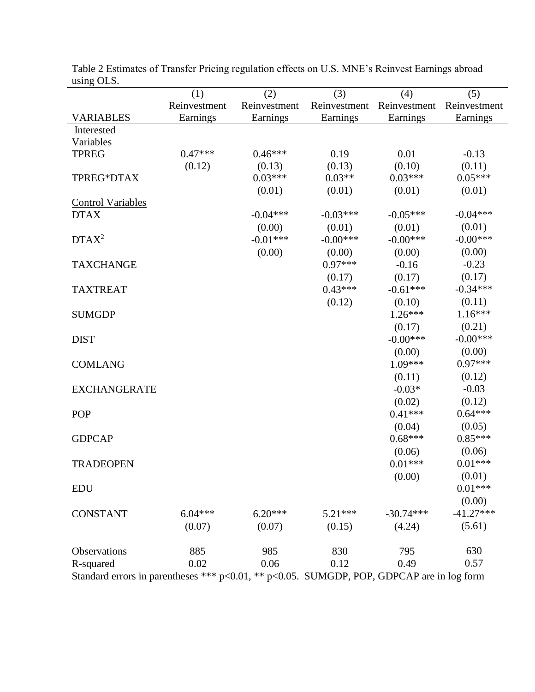| using OLS.                                                                                |              |              |              |              |              |
|-------------------------------------------------------------------------------------------|--------------|--------------|--------------|--------------|--------------|
|                                                                                           | (1)          | (2)          | (3)          | (4)          | (5)          |
|                                                                                           | Reinvestment | Reinvestment | Reinvestment | Reinvestment | Reinvestment |
| <b>VARIABLES</b>                                                                          | Earnings     | Earnings     | Earnings     | Earnings     | Earnings     |
| Interested                                                                                |              |              |              |              |              |
| Variables                                                                                 |              |              |              |              |              |
| <b>TPREG</b>                                                                              | $0.47***$    | $0.46***$    | 0.19         | 0.01         | $-0.13$      |
|                                                                                           | (0.12)       | (0.13)       | (0.13)       | (0.10)       | (0.11)       |
| TPREG*DTAX                                                                                |              | $0.03***$    | $0.03**$     | $0.03***$    | $0.05***$    |
|                                                                                           |              | (0.01)       | (0.01)       | (0.01)       | (0.01)       |
| <b>Control Variables</b>                                                                  |              |              |              |              |              |
| <b>DTAX</b>                                                                               |              | $-0.04***$   | $-0.03***$   | $-0.05***$   | $-0.04***$   |
|                                                                                           |              | (0.00)       | (0.01)       | (0.01)       | (0.01)       |
| DTAX <sup>2</sup>                                                                         |              | $-0.01***$   | $-0.00***$   | $-0.00***$   | $-0.00***$   |
|                                                                                           |              | (0.00)       | (0.00)       | (0.00)       | (0.00)       |
| <b>TAXCHANGE</b>                                                                          |              |              | $0.97***$    | $-0.16$      | $-0.23$      |
|                                                                                           |              |              | (0.17)       | (0.17)       | (0.17)       |
| <b>TAXTREAT</b>                                                                           |              |              | $0.43***$    | $-0.61***$   | $-0.34***$   |
|                                                                                           |              |              | (0.12)       | (0.10)       | (0.11)       |
| <b>SUMGDP</b>                                                                             |              |              |              | $1.26***$    | $1.16***$    |
|                                                                                           |              |              |              | (0.17)       | (0.21)       |
| <b>DIST</b>                                                                               |              |              |              | $-0.00***$   | $-0.00***$   |
|                                                                                           |              |              |              | (0.00)       | (0.00)       |
| <b>COMLANG</b>                                                                            |              |              |              | 1.09***      | $0.97***$    |
|                                                                                           |              |              |              | (0.11)       | (0.12)       |
| <b>EXCHANGERATE</b>                                                                       |              |              |              | $-0.03*$     | $-0.03$      |
|                                                                                           |              |              |              | (0.02)       | (0.12)       |
| <b>POP</b>                                                                                |              |              |              | $0.41***$    | $0.64***$    |
|                                                                                           |              |              |              | (0.04)       | (0.05)       |
| <b>GDPCAP</b>                                                                             |              |              |              | $0.68***$    | $0.85***$    |
|                                                                                           |              |              |              | (0.06)       | (0.06)       |
| <b>TRADEOPEN</b>                                                                          |              |              |              | $0.01***$    | $0.01***$    |
|                                                                                           |              |              |              | (0.00)       | (0.01)       |
| <b>EDU</b>                                                                                |              |              |              |              | $0.01***$    |
|                                                                                           |              |              |              |              | (0.00)       |
| <b>CONSTANT</b>                                                                           | $6.04***$    | $6.20***$    | $5.21***$    | $-30.74***$  | $-41.27***$  |
|                                                                                           | (0.07)       | (0.07)       | (0.15)       | (4.24)       | (5.61)       |
|                                                                                           |              |              |              |              |              |
| Observations                                                                              | 885          | 985          | 830          | 795          | 630          |
| R-squared                                                                                 | 0.02         | 0.06         | 0.12         | 0.49         | 0.57         |
| Standard errors in parentheses *** p<0.01, ** p<0.05. SUMGDP, POP, GDPCAP are in log form |              |              |              |              |              |

Table 2 Estimates of Transfer Pricing regulation effects on U.S. MNE's Reinvest Earnings abroad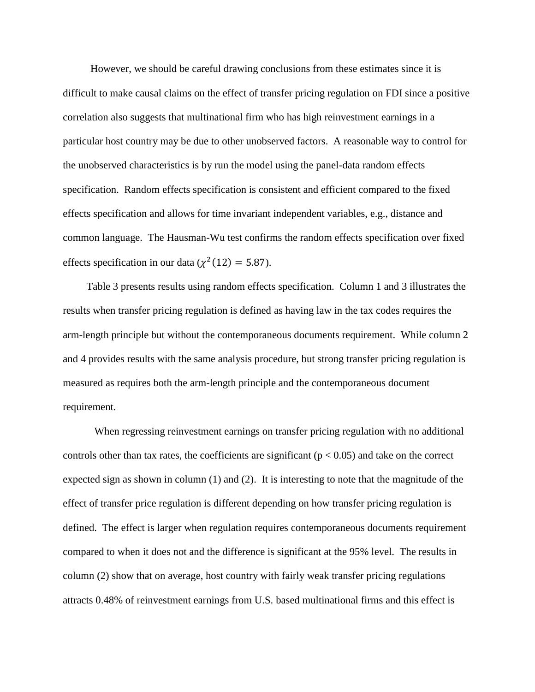However, we should be careful drawing conclusions from these estimates since it is difficult to make causal claims on the effect of transfer pricing regulation on FDI since a positive correlation also suggests that multinational firm who has high reinvestment earnings in a particular host country may be due to other unobserved factors. A reasonable way to control for the unobserved characteristics is by run the model using the panel-data random effects specification. Random effects specification is consistent and efficient compared to the fixed effects specification and allows for time invariant independent variables, e.g., distance and common language. The Hausman-Wu test confirms the random effects specification over fixed effects specification in our data ( $\chi^2(12) = 5.87$ ).

 Table 3 presents results using random effects specification. Column 1 and 3 illustrates the results when transfer pricing regulation is defined as having law in the tax codes requires the arm-length principle but without the contemporaneous documents requirement. While column 2 and 4 provides results with the same analysis procedure, but strong transfer pricing regulation is measured as requires both the arm-length principle and the contemporaneous document requirement.

When regressing reinvestment earnings on transfer pricing regulation with no additional controls other than tax rates, the coefficients are significant ( $p < 0.05$ ) and take on the correct expected sign as shown in column (1) and (2). It is interesting to note that the magnitude of the effect of transfer price regulation is different depending on how transfer pricing regulation is defined. The effect is larger when regulation requires contemporaneous documents requirement compared to when it does not and the difference is significant at the 95% level. The results in column (2) show that on average, host country with fairly weak transfer pricing regulations attracts 0.48% of reinvestment earnings from U.S. based multinational firms and this effect is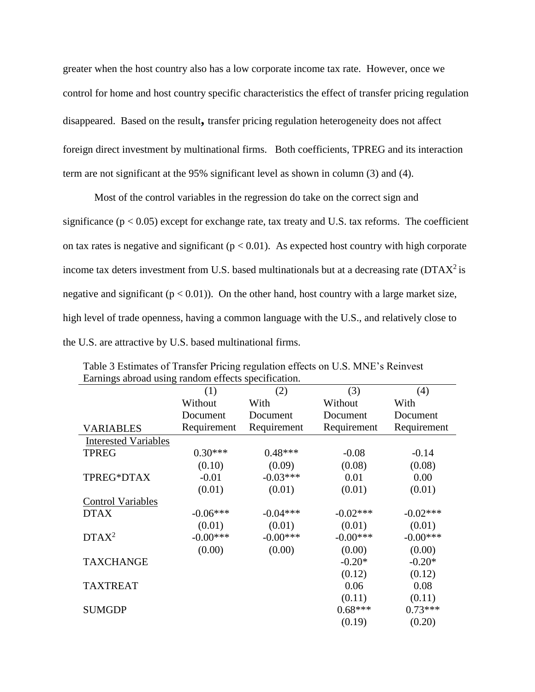greater when the host country also has a low corporate income tax rate. However, once we control for home and host country specific characteristics the effect of transfer pricing regulation disappeared. Based on the result**,** transfer pricing regulation heterogeneity does not affect foreign direct investment by multinational firms. Both coefficients, TPREG and its interaction term are not significant at the 95% significant level as shown in column (3) and (4).

Most of the control variables in the regression do take on the correct sign and significance ( $p < 0.05$ ) except for exchange rate, tax treaty and U.S. tax reforms. The coefficient on tax rates is negative and significant ( $p < 0.01$ ). As expected host country with high corporate income tax deters investment from U.S. based multinationals but at a decreasing rate  $(DTAX^2)$  is negative and significant ( $p < 0.01$ )). On the other hand, host country with a large market size, high level of trade openness, having a common language with the U.S., and relatively close to the U.S. are attractive by U.S. based multinational firms.

| Earnings abroad using random errects specification. |             |             |             |             |
|-----------------------------------------------------|-------------|-------------|-------------|-------------|
|                                                     | (1)         | (2)         | (3)         | (4)         |
|                                                     | Without     | With        | Without     | With        |
|                                                     | Document    | Document    | Document    | Document    |
| <b>VARIABLES</b>                                    | Requirement | Requirement | Requirement | Requirement |
| <b>Interested Variables</b>                         |             |             |             |             |
| <b>TPREG</b>                                        | $0.30***$   | $0.48***$   | $-0.08$     | $-0.14$     |
|                                                     | (0.10)      | (0.09)      | (0.08)      | (0.08)      |
| TPREG*DTAX                                          | $-0.01$     | $-0.03***$  | 0.01        | 0.00        |
|                                                     | (0.01)      | (0.01)      | (0.01)      | (0.01)      |
| <b>Control Variables</b>                            |             |             |             |             |
| <b>DTAX</b>                                         | $-0.06***$  | $-0.04***$  | $-0.02***$  | $-0.02***$  |
|                                                     | (0.01)      | (0.01)      | (0.01)      | (0.01)      |
| $DTAX^2$                                            | $-0.00***$  | $-0.00***$  | $-0.00***$  | $-0.00***$  |
|                                                     | (0.00)      | (0.00)      | (0.00)      | (0.00)      |
| <b>TAXCHANGE</b>                                    |             |             | $-0.20*$    | $-0.20*$    |
|                                                     |             |             | (0.12)      | (0.12)      |
| <b>TAXTREAT</b>                                     |             |             | 0.06        | 0.08        |
|                                                     |             |             | (0.11)      | (0.11)      |
| <b>SUMGDP</b>                                       |             |             | $0.68***$   | $0.73***$   |
|                                                     |             |             | (0.19)      | (0.20)      |

Table 3 Estimates of Transfer Pricing regulation effects on U.S. MNE's Reinvest Earnings abroad using random effects specification.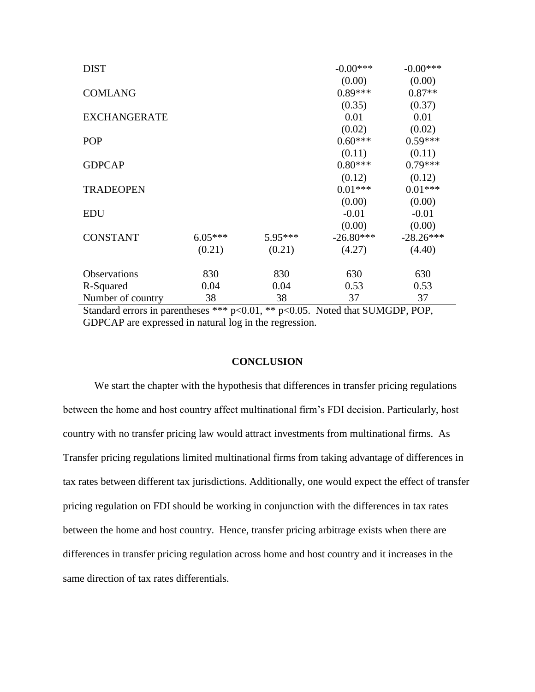| <b>DIST</b>         |           |         | $-0.00***$  | $-0.00***$  |
|---------------------|-----------|---------|-------------|-------------|
|                     |           |         | (0.00)      | (0.00)      |
| <b>COMLANG</b>      |           |         | $0.89***$   | $0.87**$    |
|                     |           |         | (0.35)      | (0.37)      |
| <b>EXCHANGERATE</b> |           |         | 0.01        | 0.01        |
|                     |           |         | (0.02)      | (0.02)      |
| <b>POP</b>          |           |         | $0.60***$   | $0.59***$   |
|                     |           |         | (0.11)      | (0.11)      |
| <b>GDPCAP</b>       |           |         | $0.80***$   | $0.79***$   |
|                     |           |         | (0.12)      | (0.12)      |
| <b>TRADEOPEN</b>    |           |         | $0.01***$   | $0.01***$   |
|                     |           |         | (0.00)      | (0.00)      |
| <b>EDU</b>          |           |         | $-0.01$     | $-0.01$     |
|                     |           |         | (0.00)      | (0.00)      |
| <b>CONSTANT</b>     | $6.05***$ | 5.95*** | $-26.80***$ | $-28.26***$ |
|                     | (0.21)    | (0.21)  | (4.27)      | (4.40)      |
| <b>Observations</b> | 830       | 830     | 630         | 630         |
| R-Squared           | 0.04      | 0.04    | 0.53        | 0.53        |
| Number of country   | 38        | 38      | 37          | 37          |

Standard errors in parentheses \*\*\* p<0.01, \*\* p<0.05. Noted that SUMGDP, POP, GDPCAP are expressed in natural log in the regression.

#### **CONCLUSION**

We start the chapter with the hypothesis that differences in transfer pricing regulations between the home and host country affect multinational firm's FDI decision. Particularly, host country with no transfer pricing law would attract investments from multinational firms. As Transfer pricing regulations limited multinational firms from taking advantage of differences in tax rates between different tax jurisdictions. Additionally, one would expect the effect of transfer pricing regulation on FDI should be working in conjunction with the differences in tax rates between the home and host country. Hence, transfer pricing arbitrage exists when there are differences in transfer pricing regulation across home and host country and it increases in the same direction of tax rates differentials.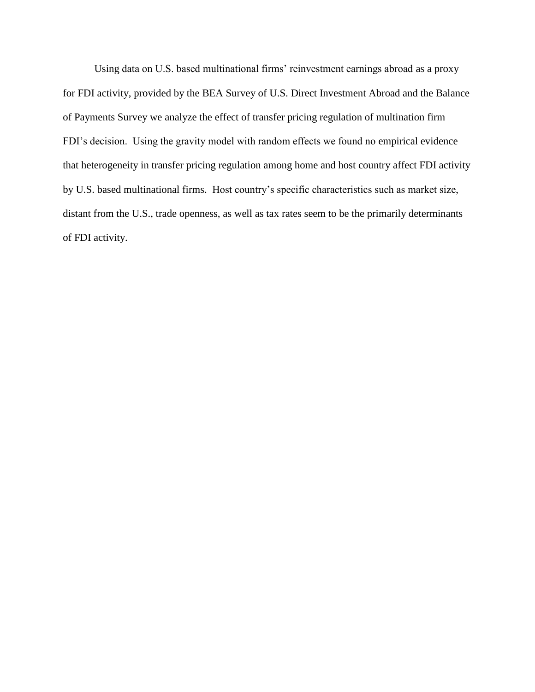Using data on U.S. based multinational firms' reinvestment earnings abroad as a proxy for FDI activity, provided by the BEA Survey of U.S. Direct Investment Abroad and the Balance of Payments Survey we analyze the effect of transfer pricing regulation of multination firm FDI's decision. Using the gravity model with random effects we found no empirical evidence that heterogeneity in transfer pricing regulation among home and host country affect FDI activity by U.S. based multinational firms. Host country's specific characteristics such as market size, distant from the U.S., trade openness, as well as tax rates seem to be the primarily determinants of FDI activity.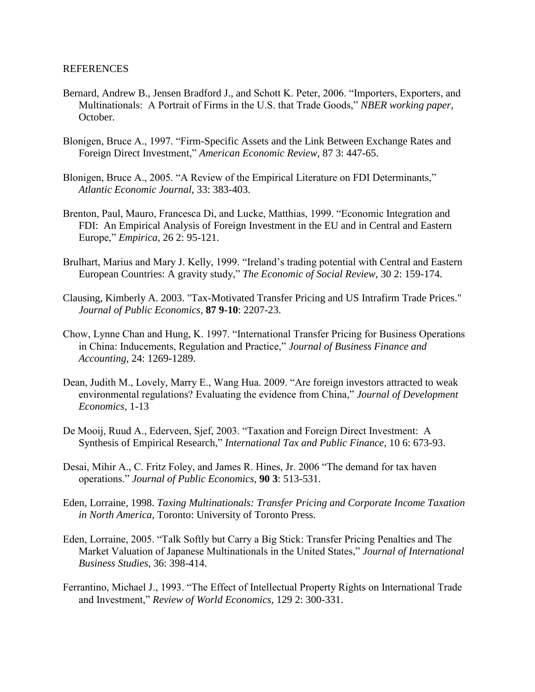- Bernard, Andrew B., Jensen Bradford J., and Schott K. Peter, 2006. "Importers, Exporters, and Multinationals: A Portrait of Firms in the U.S. that Trade Goods," *NBER working paper*, October.
- Blonigen, Bruce A., 1997. "Firm-Specific Assets and the Link Between Exchange Rates and Foreign Direct Investment," *American Economic Review,* 87 3: 447-65.
- Blonigen, Bruce A., 2005. "A Review of the Empirical Literature on FDI Determinants," *Atlantic Economic Journal,* 33: 383-403.
- Brenton, Paul, Mauro, Francesca Di, and Lucke, Matthias, 1999. "Economic Integration and FDI: An Empirical Analysis of Foreign Investment in the EU and in Central and Eastern Europe," *Empirica,* 26 2: 95-121.
- Brulhart, Marius and Mary J. Kelly, 1999. "Ireland's trading potential with Central and Eastern European Countries: A gravity study," *The Economic of Social Review,* 30 2: 159-174.
- Clausing, Kimberly A. 2003. "Tax-Motivated Transfer Pricing and US Intrafirm Trade Prices." *Journal of Public Economics,* **87 9-10**: 2207-23.
- Chow, Lynne Chan and Hung, K. 1997. "International Transfer Pricing for Business Operations in China: Inducements, Regulation and Practice," *Journal of Business Finance and Accounting,* 24: 1269-1289.
- Dean, Judith M., Lovely, Marry E., Wang Hua. 2009. "Are foreign investors attracted to weak environmental regulations? Evaluating the evidence from China," *Journal of Development Economics,* 1-13
- De Mooij, Ruud A., Ederveen, Sjef, 2003. "Taxation and Foreign Direct Investment: A Synthesis of Empirical Research," *International Tax and Public Finance*, 10 6: 673-93.
- Desai, Mihir A., C. Fritz Foley, and James R. Hines, Jr. 2006 "The demand for tax haven operations." *Journal of Public Economics,* **90 3**: 513-531.
- Eden, Lorraine, 1998. *Taxing Multinationals: Transfer Pricing and Corporate Income Taxation in North America*, Toronto: University of Toronto Press.
- Eden, Lorraine, 2005. "Talk Softly but Carry a Big Stick: Transfer Pricing Penalties and The Market Valuation of Japanese Multinationals in the United States," *Journal of International Business Studies,* 36: 398-414.
- Ferrantino, Michael J., 1993. "The Effect of Intellectual Property Rights on International Trade and Investment," *Review of World Economics,* 129 2: 300-331.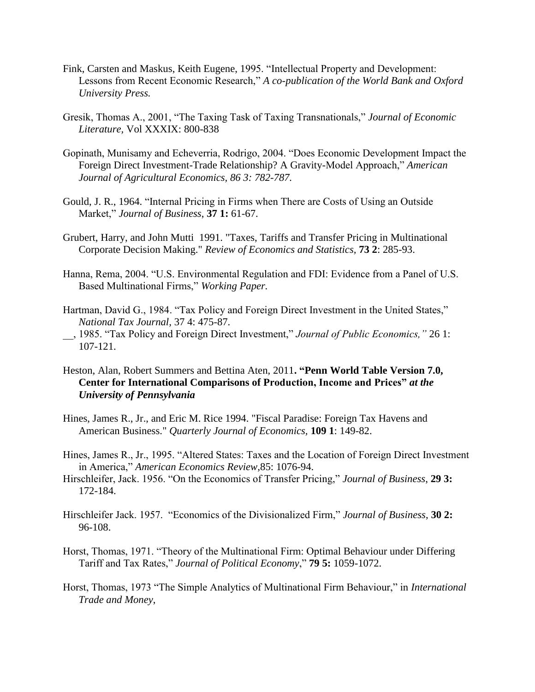- Fink, Carsten and Maskus, Keith Eugene, 1995. "Intellectual Property and Development: Lessons from Recent Economic Research," *A co-publication of the World Bank and Oxford University Press.*
- Gresik, Thomas A., 2001, "The Taxing Task of Taxing Transnationals," *Journal of Economic Literature,* Vol XXXIX: 800-838
- Gopinath, Munisamy and Echeverria, Rodrigo, 2004. "Does Economic Development Impact the Foreign Direct Investment-Trade Relationship? A Gravity-Model Approach," *American Journal of Agricultural Economics, 86 3: 782-787.*
- Gould, J. R., 1964. "Internal Pricing in Firms when There are Costs of Using an Outside Market," *Journal of Business*, **37 1:** 61-67.
- Grubert, Harry, and John Mutti 1991. "Taxes, Tariffs and Transfer Pricing in Multinational Corporate Decision Making." *Review of Economics and Statistics,* **73 2**: 285-93.
- Hanna, Rema, 2004. "U.S. Environmental Regulation and FDI: Evidence from a Panel of U.S. Based Multinational Firms," *Working Paper.*
- Hartman, David G., 1984. "Tax Policy and Foreign Direct Investment in the United States," *National Tax Journal,* 37 4: 475-87.
- \_\_, 1985. "Tax Policy and Foreign Direct Investment," *Journal of Public Economics,"* 26 1: 107-121.
- Heston, Alan, Robert Summers and Bettina Aten, 2011**. "Penn World Table Version 7.0, Center for International Comparisons of Production, Income and Prices"** *at the University of Pennsylvania*
- Hines, James R., Jr., and Eric M. Rice 1994. "Fiscal Paradise: Foreign Tax Havens and American Business." *Quarterly Journal of Economics,* **109 1**: 149-82.
- Hines, James R., Jr., 1995. "Altered States: Taxes and the Location of Foreign Direct Investment in America," *American Economics Review,*85: 1076-94.
- Hirschleifer, Jack. 1956. "On the Economics of Transfer Pricing," *Journal of Business*, **29 3:** 172-184.
- Hirschleifer Jack. 1957. "Economics of the Divisionalized Firm," *Journal of Business*, **30 2:**  96-108.
- Horst, Thomas, 1971. "Theory of the Multinational Firm: Optimal Behaviour under Differing Tariff and Tax Rates," *Journal of Political Economy*," **79 5:** 1059-1072.
- Horst, Thomas, 1973 "The Simple Analytics of Multinational Firm Behaviour," in *International Trade and Money*,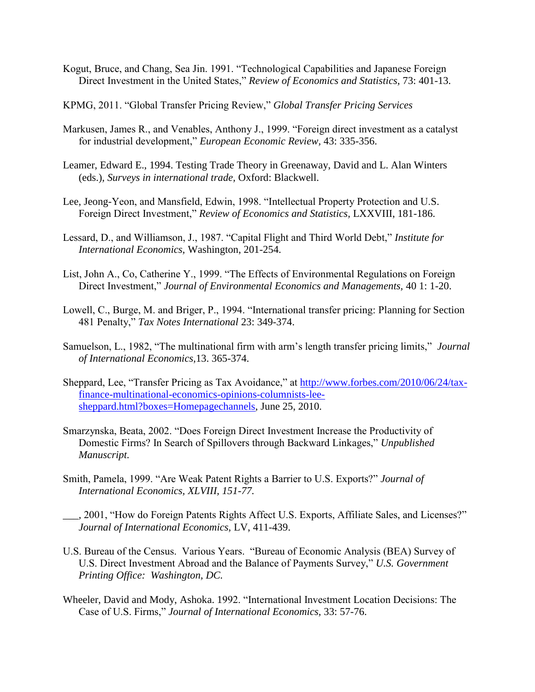- Kogut, Bruce, and Chang, Sea Jin. 1991. "Technological Capabilities and Japanese Foreign Direct Investment in the United States," *Review of Economics and Statistics,* 73: 401-13.
- KPMG, 2011. "Global Transfer Pricing Review," *Global Transfer Pricing Services*
- Markusen, James R., and Venables, Anthony J., 1999. "Foreign direct investment as a catalyst for industrial development," *European Economic Review,* 43: 335-356.
- Leamer, Edward E., 1994. Testing Trade Theory in Greenaway, David and L. Alan Winters (eds.), *Surveys in international trade,* Oxford: Blackwell.
- Lee, Jeong-Yeon, and Mansfield, Edwin, 1998. "Intellectual Property Protection and U.S. Foreign Direct Investment," *Review of Economics and Statistics,* LXXVIII, 181-186.
- Lessard, D., and Williamson, J., 1987. "Capital Flight and Third World Debt," *Institute for International Economics,* Washington, 201-254.
- List, John A., Co, Catherine Y., 1999. "The Effects of Environmental Regulations on Foreign Direct Investment," *Journal of Environmental Economics and Managements,* 40 1: 1-20.
- Lowell, C., Burge, M. and Briger, P., 1994. "International transfer pricing: Planning for Section 481 Penalty," *Tax Notes International* 23: 349-374.
- Samuelson, L., 1982, "The multinational firm with arm's length transfer pricing limits," *Journal of International Economics,*13. 365-374.
- Sheppard, Lee, "Transfer Pricing as Tax Avoidance," at [http://www.forbes.com/2010/06/24/tax](http://www.forbes.com/2010/06/24/tax-finance-multinational-economics-opinions-columnists-lee-sheppard.html?boxes=Homepagechannels)[finance-multinational-economics-opinions-columnists-lee](http://www.forbes.com/2010/06/24/tax-finance-multinational-economics-opinions-columnists-lee-sheppard.html?boxes=Homepagechannels)[sheppard.html?boxes=Homepagechannels,](http://www.forbes.com/2010/06/24/tax-finance-multinational-economics-opinions-columnists-lee-sheppard.html?boxes=Homepagechannels) June 25, 2010.
- Smarzynska, Beata, 2002. "Does Foreign Direct Investment Increase the Productivity of Domestic Firms? In Search of Spillovers through Backward Linkages," *Unpublished Manuscript.*
- Smith, Pamela, 1999. "Are Weak Patent Rights a Barrier to U.S. Exports?" *Journal of International Economics, XLVIII, 151-77.*
- *\_\_\_,* 2001, "How do Foreign Patents Rights Affect U.S. Exports, Affiliate Sales, and Licenses?" *Journal of International Economics,* LV, 411-439.
- U.S. Bureau of the Census. Various Years. "Bureau of Economic Analysis (BEA) Survey of U.S. Direct Investment Abroad and the Balance of Payments Survey," *U.S. Government Printing Office: Washington, DC.*
- Wheeler, David and Mody, Ashoka. 1992. "International Investment Location Decisions: The Case of U.S. Firms," *Journal of International Economics,* 33: 57-76.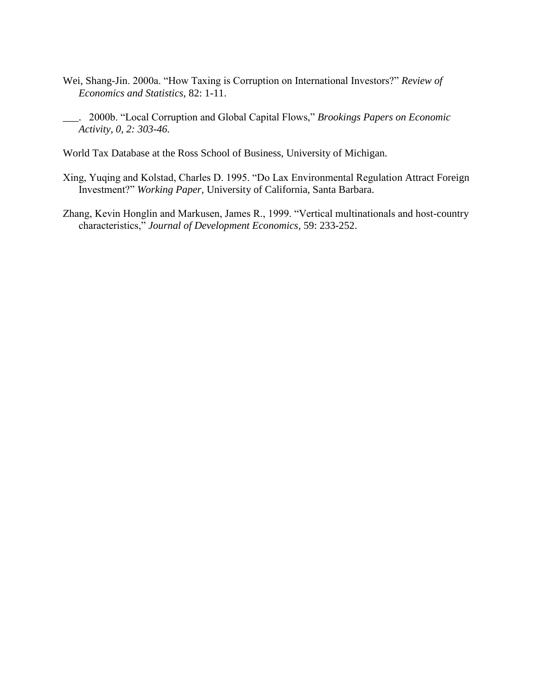- Wei, Shang-Jin. 2000a. "How Taxing is Corruption on International Investors?" *Review of Economics and Statistics,* 82: 1-11.
- \_\_\_. 2000b. "Local Corruption and Global Capital Flows," *Brookings Papers on Economic Activity, 0, 2: 303-46.*
- World Tax Database at the Ross School of Business, University of Michigan.
- Xing, Yuqing and Kolstad, Charles D. 1995. "Do Lax Environmental Regulation Attract Foreign Investment?" *Working Paper,* University of California, Santa Barbara.
- Zhang, Kevin Honglin and Markusen, James R., 1999. "Vertical multinationals and host-country characteristics," *Journal of Development Economics,* 59: 233-252.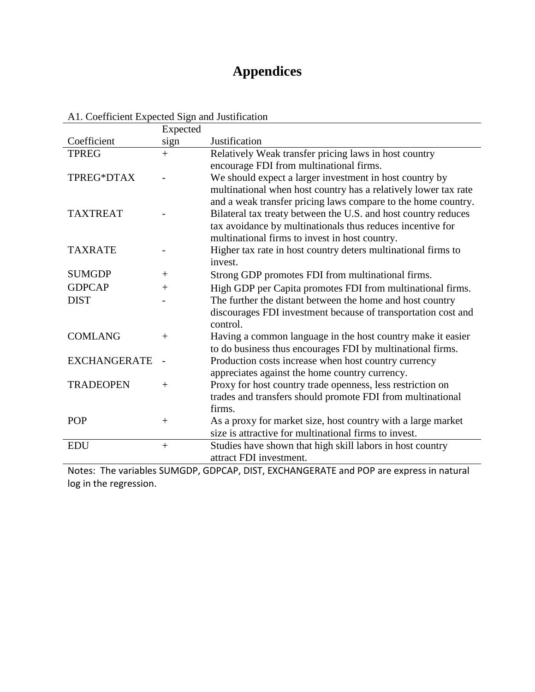## **Appendices**

|                     | Expected |                                                                 |
|---------------------|----------|-----------------------------------------------------------------|
| Coefficient         | sign     | Justification                                                   |
| <b>TPREG</b>        | $+$      | Relatively Weak transfer pricing laws in host country           |
|                     |          | encourage FDI from multinational firms.                         |
| TPREG*DTAX          |          | We should expect a larger investment in host country by         |
|                     |          | multinational when host country has a relatively lower tax rate |
|                     |          | and a weak transfer pricing laws compare to the home country.   |
| <b>TAXTREAT</b>     |          | Bilateral tax treaty between the U.S. and host country reduces  |
|                     |          | tax avoidance by multinationals thus reduces incentive for      |
|                     |          | multinational firms to invest in host country.                  |
| <b>TAXRATE</b>      |          | Higher tax rate in host country deters multinational firms to   |
|                     |          | invest.                                                         |
| <b>SUMGDP</b>       | $+$      | Strong GDP promotes FDI from multinational firms.               |
| <b>GDPCAP</b>       | $^{+}$   | High GDP per Capita promotes FDI from multinational firms.      |
| <b>DIST</b>         |          | The further the distant between the home and host country       |
|                     |          | discourages FDI investment because of transportation cost and   |
|                     |          | control.                                                        |
| <b>COMLANG</b>      | $+$      | Having a common language in the host country make it easier     |
|                     |          | to do business thus encourages FDI by multinational firms.      |
| <b>EXCHANGERATE</b> |          | Production costs increase when host country currency            |
|                     |          | appreciates against the home country currency.                  |
| <b>TRADEOPEN</b>    | $^{+}$   | Proxy for host country trade openness, less restriction on      |
|                     |          | trades and transfers should promote FDI from multinational      |
|                     |          | firms.                                                          |
| <b>POP</b>          | $+$      | As a proxy for market size, host country with a large market    |
|                     |          | size is attractive for multinational firms to invest.           |
| <b>EDU</b>          | $+$      | Studies have shown that high skill labors in host country       |
|                     |          | attract FDI investment.                                         |

A1. Coefficient Expected Sign and Justification

Notes: The variables SUMGDP, GDPCAP, DIST, EXCHANGERATE and POP are express in natural log in the regression.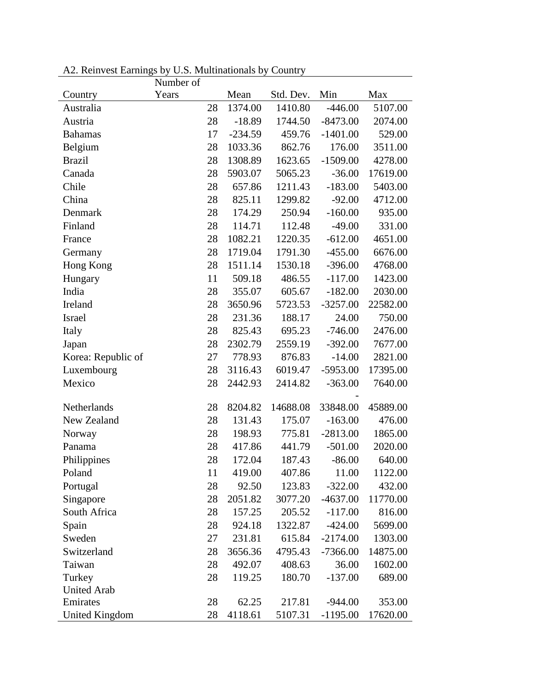|                       | Number of |    |           |           |            |          |
|-----------------------|-----------|----|-----------|-----------|------------|----------|
| Country               | Years     |    | Mean      | Std. Dev. | Min        | Max      |
| Australia             |           | 28 | 1374.00   | 1410.80   | $-446.00$  | 5107.00  |
| Austria               |           | 28 | $-18.89$  | 1744.50   | $-8473.00$ | 2074.00  |
| <b>Bahamas</b>        |           | 17 | $-234.59$ | 459.76    | $-1401.00$ | 529.00   |
| Belgium               |           | 28 | 1033.36   | 862.76    | 176.00     | 3511.00  |
| <b>Brazil</b>         |           | 28 | 1308.89   | 1623.65   | $-1509.00$ | 4278.00  |
| Canada                |           | 28 | 5903.07   | 5065.23   | $-36.00$   | 17619.00 |
| Chile                 |           | 28 | 657.86    | 1211.43   | $-183.00$  | 5403.00  |
| China                 |           | 28 | 825.11    | 1299.82   | $-92.00$   | 4712.00  |
| Denmark               |           | 28 | 174.29    | 250.94    | $-160.00$  | 935.00   |
| Finland               |           | 28 | 114.71    | 112.48    | $-49.00$   | 331.00   |
| France                |           | 28 | 1082.21   | 1220.35   | $-612.00$  | 4651.00  |
| Germany               |           | 28 | 1719.04   | 1791.30   | $-455.00$  | 6676.00  |
| Hong Kong             |           | 28 | 1511.14   | 1530.18   | $-396.00$  | 4768.00  |
| Hungary               |           | 11 | 509.18    | 486.55    | $-117.00$  | 1423.00  |
| India                 |           | 28 | 355.07    | 605.67    | $-182.00$  | 2030.00  |
| Ireland               |           | 28 | 3650.96   | 5723.53   | $-3257.00$ | 22582.00 |
| Israel                |           | 28 | 231.36    | 188.17    | 24.00      | 750.00   |
| Italy                 |           | 28 | 825.43    | 695.23    | $-746.00$  | 2476.00  |
| Japan                 |           | 28 | 2302.79   | 2559.19   | $-392.00$  | 7677.00  |
| Korea: Republic of    |           | 27 | 778.93    | 876.83    | $-14.00$   | 2821.00  |
| Luxembourg            |           | 28 | 3116.43   | 6019.47   | $-5953.00$ | 17395.00 |
| Mexico                |           | 28 | 2442.93   | 2414.82   | $-363.00$  | 7640.00  |
|                       |           |    |           |           |            |          |
| Netherlands           |           | 28 | 8204.82   | 14688.08  | 33848.00   | 45889.00 |
| New Zealand           |           | 28 | 131.43    | 175.07    | $-163.00$  | 476.00   |
| Norway                |           | 28 | 198.93    | 775.81    | $-2813.00$ | 1865.00  |
| Panama                |           | 28 | 417.86    | 441.79    | $-501.00$  | 2020.00  |
| Philippines           |           | 28 | 172.04    | 187.43    | $-86.00$   | 640.00   |
| Poland                |           | 11 | 419.00    | 407.86    | 11.00      | 1122.00  |
| Portugal              |           | 28 | 92.50     | 123.83    | $-322.00$  | 432.00   |
| Singapore             |           | 28 | 2051.82   | 3077.20   | $-4637.00$ | 11770.00 |
| South Africa          |           | 28 | 157.25    | 205.52    | $-117.00$  | 816.00   |
| Spain                 |           | 28 | 924.18    | 1322.87   | $-424.00$  | 5699.00  |
| Sweden                |           | 27 | 231.81    | 615.84    | $-2174.00$ | 1303.00  |
| Switzerland           |           | 28 | 3656.36   | 4795.43   | $-7366.00$ | 14875.00 |
| Taiwan                |           | 28 | 492.07    | 408.63    | 36.00      | 1602.00  |
| Turkey                |           | 28 | 119.25    | 180.70    | $-137.00$  | 689.00   |
| <b>United Arab</b>    |           |    |           |           |            |          |
| Emirates              |           | 28 | 62.25     | 217.81    | $-944.00$  | 353.00   |
| <b>United Kingdom</b> |           | 28 | 4118.61   | 5107.31   | $-1195.00$ | 17620.00 |

A2. Reinvest Earnings by U.S. Multinationals by Country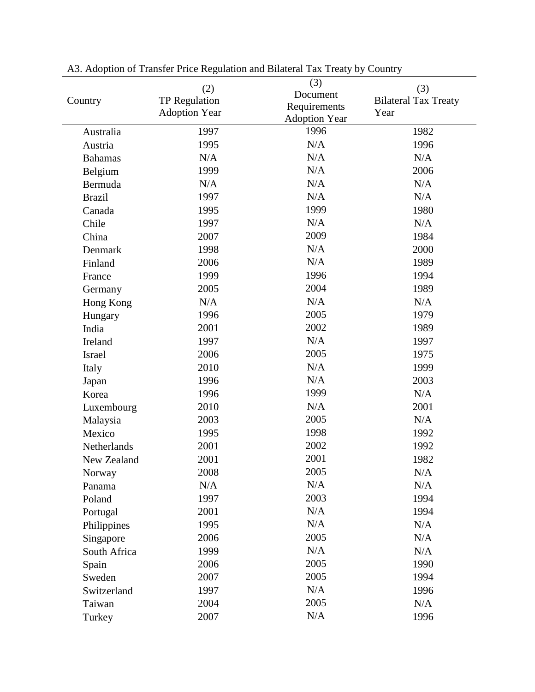|                    | (2)                  | (3)                  | (3)                         |
|--------------------|----------------------|----------------------|-----------------------------|
| Country            | <b>TP Regulation</b> | Document             | <b>Bilateral Tax Treaty</b> |
|                    | <b>Adoption Year</b> | Requirements         | Year                        |
|                    |                      | <b>Adoption Year</b> |                             |
| Australia          | 1997                 | 1996                 | 1982                        |
| Austria            | 1995                 | N/A                  | 1996                        |
| <b>Bahamas</b>     | N/A                  | N/A                  | N/A                         |
| Belgium            | 1999                 | N/A                  | 2006                        |
| Bermuda            | N/A                  | N/A                  | N/A                         |
| <b>Brazil</b>      | 1997                 | N/A                  | N/A                         |
| Canada             | 1995                 | 1999                 | 1980                        |
| Chile              | 1997                 | N/A                  | N/A                         |
| China              | 2007                 | 2009                 | 1984                        |
| Denmark            | 1998                 | N/A                  | 2000                        |
| Finland            | 2006                 | N/A                  | 1989                        |
| France             | 1999                 | 1996                 | 1994                        |
| Germany            | 2005                 | 2004                 | 1989                        |
| Hong Kong          | N/A                  | N/A                  | N/A                         |
| Hungary            | 1996                 | 2005                 | 1979                        |
| India              | 2001                 | 2002                 | 1989                        |
| Ireland            | 1997                 | N/A                  | 1997                        |
| <b>Israel</b>      | 2006                 | 2005                 | 1975                        |
| Italy              | 2010                 | N/A                  | 1999                        |
| Japan              | 1996                 | N/A                  | 2003                        |
| Korea              | 1996                 | 1999                 | N/A                         |
| Luxembourg         | 2010                 | N/A                  | 2001                        |
| Malaysia           | 2003                 | 2005                 | N/A                         |
| Mexico             | 1995                 | 1998                 | 1992                        |
| <b>Netherlands</b> | 2001                 | 2002                 | 1992                        |
| New Zealand        | 2001                 | 2001                 | 1982                        |
| Norway             | 2008                 | 2005                 | N/A                         |
| Panama             | N/A                  | N/A                  | N/A                         |
| Poland             | 1997                 | 2003                 | 1994                        |
| Portugal           | 2001                 | N/A                  | 1994                        |
| Philippines        | 1995                 | N/A                  | N/A                         |
| Singapore          | 2006                 | 2005                 | N/A                         |
| South Africa       | 1999                 | N/A                  | N/A                         |
| Spain              | 2006                 | 2005                 | 1990                        |
| Sweden             | 2007                 | 2005                 | 1994                        |
| Switzerland        | 1997                 | N/A                  | 1996                        |
| Taiwan             | 2004                 | 2005                 | N/A                         |
| Turkey             | 2007                 | N/A                  | 1996                        |

A3. Adoption of Transfer Price Regulation and Bilateral Tax Treaty by Country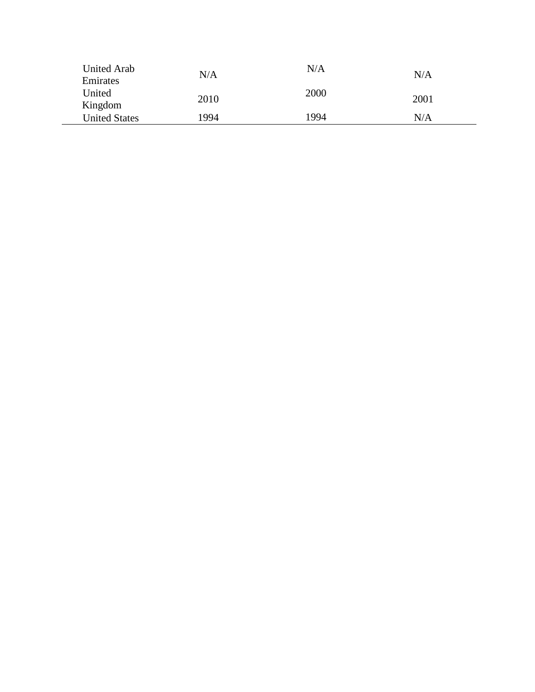| United Arab          | N/A  | N/A  | N/A  |
|----------------------|------|------|------|
| Emirates             |      |      |      |
| United<br>Kingdom    | 2010 | 2000 | 2001 |
| <b>United States</b> | 1994 | 1994 | N/A  |